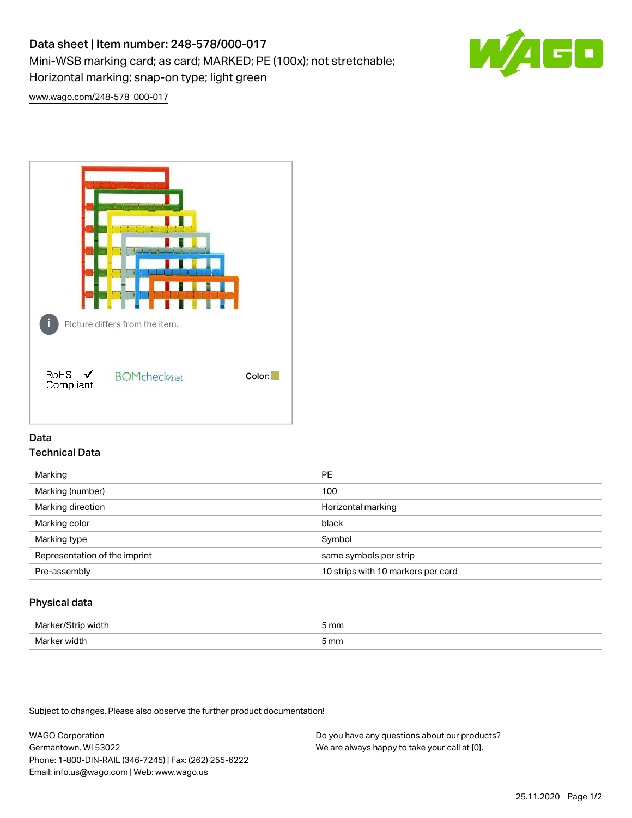# Data sheet | Item number: 248-578/000-017 Mini-WSB marking card; as card; MARKED; PE (100x); not stretchable;

Horizontal marking; snap-on type; light green



[www.wago.com/248-578\\_000-017](http://www.wago.com/248-578_000-017)



# Data Technical Data

| Marking                       | <b>PE</b>                          |
|-------------------------------|------------------------------------|
| Marking (number)              | 100                                |
| Marking direction             | Horizontal marking                 |
| Marking color                 | black                              |
| Marking type                  | Symbol                             |
| Representation of the imprint | same symbols per strip             |
| Pre-assembly                  | 10 strips with 10 markers per card |
|                               |                                    |

# Physical data

| Mar                      | 5 mm |
|--------------------------|------|
| M <sub>cr</sub><br>width | 5 mm |

Subject to changes. Please also observe the further product documentation!

WAGO Corporation Germantown, WI 53022 Phone: 1-800-DIN-RAIL (346-7245) | Fax: (262) 255-6222 Email: info.us@wago.com | Web: www.wago.us Do you have any questions about our products? We are always happy to take your call at {0}.